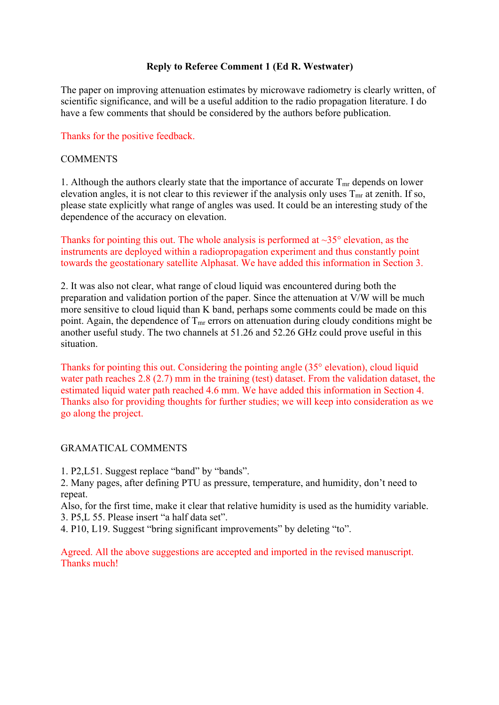# **Reply to Referee Comment 1 (Ed R. Westwater)**

The paper on improving attenuation estimates by microwave radiometry is clearly written, of scientific significance, and will be a useful addition to the radio propagation literature. I do have a few comments that should be considered by the authors before publication.

Thanks for the positive feedback.

#### COMMENTS

1. Although the authors clearly state that the importance of accurate  $T_{mr}$  depends on lower elevation angles, it is not clear to this reviewer if the analysis only uses  $T_{mr}$  at zenith. If so, please state explicitly what range of angles was used. It could be an interesting study of the dependence of the accuracy on elevation.

Thanks for pointing this out. The whole analysis is performed at  $\sim$ 35 $\degree$  elevation, as the instruments are deployed within a radiopropagation experiment and thus constantly point towards the geostationary satellite Alphasat. We have added this information in Section 3.

2. It was also not clear, what range of cloud liquid was encountered during both the preparation and validation portion of the paper. Since the attenuation at V/W will be much more sensitive to cloud liquid than K band, perhaps some comments could be made on this point. Again, the dependence of  $T_{mr}$  errors on attenuation during cloudy conditions might be another useful study. The two channels at 51.26 and 52.26 GHz could prove useful in this situation.

Thanks for pointing this out. Considering the pointing angle (35° elevation), cloud liquid water path reaches 2.8 (2.7) mm in the training (test) dataset. From the validation dataset, the estimated liquid water path reached 4.6 mm. We have added this information in Section 4. Thanks also for providing thoughts for further studies; we will keep into consideration as we go along the project.

### GRAMATICAL COMMENTS

1. P2,L51. Suggest replace "band" by "bands".

2. Many pages, after defining PTU as pressure, temperature, and humidity, don't need to repeat.

Also, for the first time, make it clear that relative humidity is used as the humidity variable. 3. P5,L 55. Please insert "a half data set".

4. P10, L19. Suggest "bring significant improvements" by deleting "to".

Agreed. All the above suggestions are accepted and imported in the revised manuscript. Thanks much!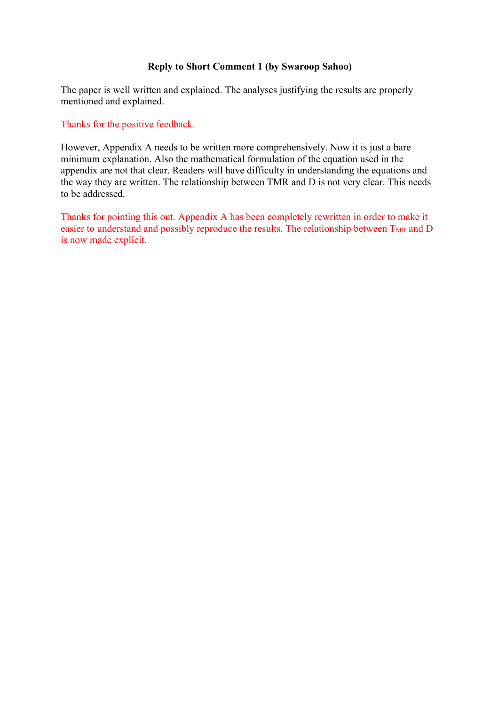## **Reply to Short Comment 1 (by Swaroop Sahoo)**

The paper is well written and explained. The analyses justifying the results are properly mentioned and explained.

Thanks for the positive feedback.

However, Appendix A needs to be written more comprehensively. Now it is just a bare minimum explanation. Also the mathematical formulation of the equation used in the appendix are not that clear. Readers will have difficulty in understanding the equations and the way they are written. The relationship between TMR and D is not very clear. This needs to be addressed.

Thanks for pointing this out. Appendix A has been completely rewritten in order to make it easier to understand and possibly reproduce the results. The relationship between  $T_{MR}$  and D is now made explicit.